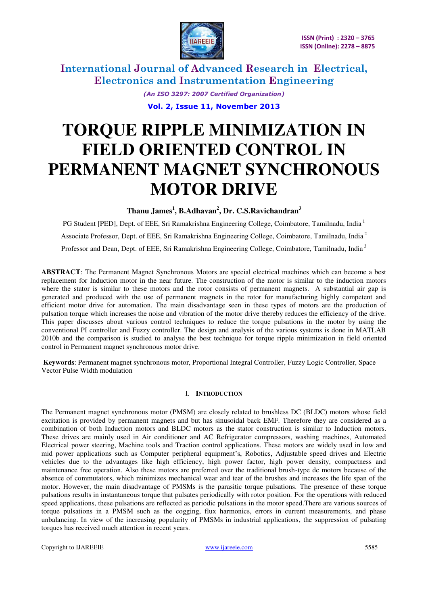

> *(An ISO 3297: 2007 Certified Organization)*  **Vol. 2, Issue 11, November 2013**

# **TORQUE RIPPLE MINIMIZATION IN FIELD ORIENTED CONTROL IN PERMANENT MAGNET SYNCHRONOUS MOTOR DRIVE**

**Thanu James<sup>1</sup> , B.Adhavan<sup>2</sup> , Dr. C.S.Ravichandran<sup>3</sup>**

PG Student [PED], Dept. of EEE, Sri Ramakrishna Engineering College, Coimbatore, Tamilnadu, India<sup>1</sup> Associate Professor, Dept. of EEE, Sri Ramakrishna Engineering College, Coimbatore, Tamilnadu, India<sup>2</sup> Professor and Dean, Dept. of EEE, Sri Ramakrishna Engineering College, Coimbatore, Tamilnadu, India<sup>3</sup>

**ABSTRACT**: The Permanent Magnet Synchronous Motors are special electrical machines which can become a best replacement for Induction motor in the near future. The construction of the motor is similar to the induction motors where the stator is similar to these motors and the rotor consists of permanent magnets. A substantial air gap is generated and produced with the use of permanent magnets in the rotor for manufacturing highly competent and efficient motor drive for automation. The main disadvantage seen in these types of motors are the production of pulsation torque which increases the noise and vibration of the motor drive thereby reduces the efficiency of the drive. This paper discusses about various control techniques to reduce the torque pulsations in the motor by using the conventional PI controller and Fuzzy controller. The design and analysis of the various systems is done in MATLAB 2010b and the comparison is studied to analyse the best technique for torque ripple minimization in field oriented control in Permanent magnet synchronous motor drive.

 **Keywords**: Permanent magnet synchronous motor, Proportional Integral Controller, Fuzzy Logic Controller, Space Vector Pulse Width modulation

### I. **INTRODUCTION**

The Permanent magnet synchronous motor (PMSM) are closely related to brushless DC (BLDC) motors whose field excitation is provided by permanent magnets and but has sinusoidal back EMF. Therefore they are considered as a combination of both Induction motors and BLDC motors as the stator construction is similar to Induction motors. These drives are mainly used in Air conditioner and AC Refrigerator compressors, washing machines, Automated Electrical power steering, Machine tools and Traction control applications. These motors are widely used in low and mid power applications such as Computer peripheral equipment's, Robotics, Adjustable speed drives and Electric vehicles due to the advantages like high efficiency, high power factor, high power density, compactness and maintenance free operation. Also these motors are preferred over the traditional brush-type dc motors because of the absence of commutators, which minimizes mechanical wear and tear of the brushes and increases the life span of the motor. However, the main disadvantage of PMSMs is the parasitic torque pulsations. The presence of these torque pulsations results in instantaneous torque that pulsates periodically with rotor position. For the operations with reduced speed applications, these pulsations are reflected as periodic pulsations in the motor speed.There are various sources of torque pulsations in a PMSM such as the cogging, flux harmonics, errors in current measurements, and phase unbalancing. In view of the increasing popularity of PMSMs in industrial applications, the suppression of pulsating torques has received much attention in recent years.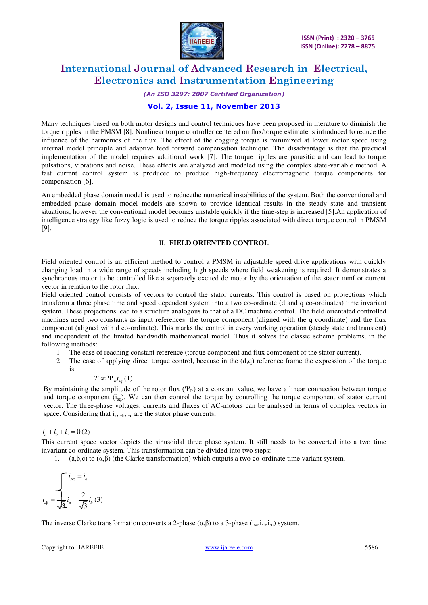

#### *(An ISO 3297: 2007 Certified Organization)*

### **Vol. 2, Issue 11, November 2013**

Many techniques based on both motor designs and control techniques have been proposed in literature to diminish the torque ripples in the PMSM [8]. Nonlinear torque controller centered on flux/torque estimate is introduced to reduce the influence of the harmonics of the flux. The effect of the cogging torque is minimized at lower motor speed using internal model principle and adaptive feed forward compensation technique. The disadvantage is that the practical implementation of the model requires additional work [7]. The torque ripples are parasitic and can lead to torque pulsations, vibrations and noise. These effects are analyzed and modeled using the complex state-variable method. A fast current control system is produced to produce high-frequency electromagnetic torque components for compensation [6].

An embedded phase domain model is used to reducethe numerical instabilities of the system. Both the conventional and embedded phase domain model models are shown to provide identical results in the steady state and transient situations; however the conventional model becomes unstable quickly if the time-step is increased [5].An application of intelligence strategy like fuzzy logic is used to reduce the torque ripples associated with direct torque control in PMSM [9].

#### II. **FIELD ORIENTED CONTROL**

Field oriented control is an efficient method to control a PMSM in adjustable speed drive applications with quickly changing load in a wide range of speeds including high speeds where field weakening is required. It demonstrates a synchronous motor to be controlled like a separately excited dc motor by the orientation of the stator mmf or current vector in relation to the rotor flux.

Field oriented control consists of vectors to control the stator currents. This control is based on projections which transform a three phase time and speed dependent system into a two co-ordinate (d and q co-ordinates) time invariant system. These projections lead to a structure analogous to that of a DC machine control. The field orientated controlled machines need two constants as input references: the torque component (aligned with the q coordinate) and the flux component (aligned with d co-ordinate). This marks the control in every working operation (steady state and transient) and independent of the limited bandwidth mathematical model. Thus it solves the classic scheme problems, in the following methods:

- 1. The ease of reaching constant reference (torque component and flux component of the stator current).
- 2. The ease of applying direct torque control, because in the (d,q) reference frame the expression of the torque is:

$$
T\propto \Psi_{R}i_{sq}\left(1\right)
$$

By maintaining the amplitude of the rotor flux  $(\Psi_R)$  at a constant value, we have a linear connection between torque and torque component  $(i_{sa})$ . We can then control the torque by controlling the torque component of stator current vector. The three-phase voltages, currents and fluxes of AC-motors can be analysed in terms of complex vectors in space. Considering that  $i_a$ ,  $i_b$ ,  $i_c$  are the stator phase currents,

#### $i_a + i_b + i_c = 0$ (2)

This current space vector depicts the sinusoidal three phase system. It still needs to be converted into a two time invariant co-ordinate system. This transformation can be divided into two steps:

1. (a,b,c) to ( $α,β$ ) (the Clarke transformation) which outputs a two co-ordinate time variant system.

$$
i_{s\beta} = \frac{\sqrt{i_{s\alpha} = i_a}}{\sqrt{3}} i_a + \frac{2}{\sqrt{3}} i_b (3)
$$

The inverse Clarke transformation converts a 2-phase  $(\alpha, \beta)$  to a 3-phase  $(i_{sa}, i_{sh}, i_{sc})$  system.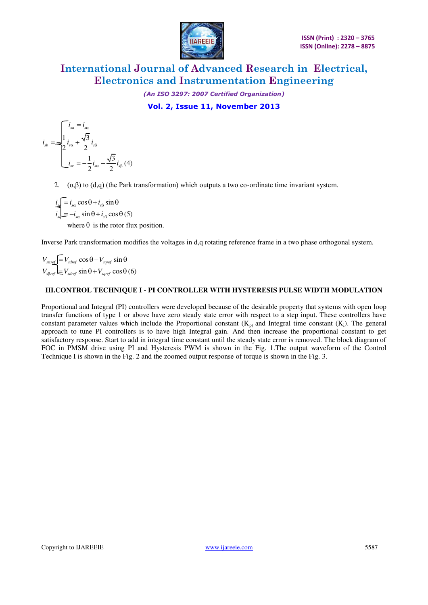

*(An ISO 3297: 2007 Certified Organization)*  **Vol. 2, Issue 11, November 2013** 

$$
i_{sb} = \frac{\sqrt{i_{sa} - i_{sa}}}{2} i_{sa} + \frac{\sqrt{3}}{2} i_{sb}
$$

$$
i_{sc} = -\frac{1}{2} i_{sa} - \frac{\sqrt{3}}{2} i_{sb}
$$
(4)

2. (α,β) to (d,q) (the Park transformation) which outputs a two co-ordinate time invariant system.

 $i_{\rm s} = i_{\rm s0} \cos \theta + i_{\rm s0} \sin \theta$  $i_{sq} = -i_{s\alpha} \sin \theta + i_{s\beta} \cos \theta (5)$ where  $\theta$  is the rotor flux position.

Inverse Park transformation modifies the voltages in d,q rotating reference frame in a two phase orthogonal system.

 $V_{\text{saref}} = V_{\text{sder}} \cos \theta - V_{\text{saref}} \sin \theta$  $V_{\text{sBref}} \equiv V_{\text{sder}} \sin \theta + V_{\text{saref}} \cos \theta (6)$ 

### **III.CONTROL TECHNIQUE I - PI CONTROLLER WITH HYSTERESIS PULSE WIDTH MODULATION**

Proportional and Integral (PI) controllers were developed because of the desirable property that systems with open loop transfer functions of type 1 or above have zero steady state error with respect to a step input. These controllers have constant parameter values which include the Proportional constant  $(K_p)$  and Integral time constant  $(K_i)$ . The general approach to tune PI controllers is to have high Integral gain. And then increase the proportional constant to get satisfactory response. Start to add in integral time constant until the steady state error is removed. The block diagram of FOC in PMSM drive using PI and Hysteresis PWM is shown in the Fig. 1.The output waveform of the Control Technique I is shown in the Fig. 2 and the zoomed output response of torque is shown in the Fig. 3.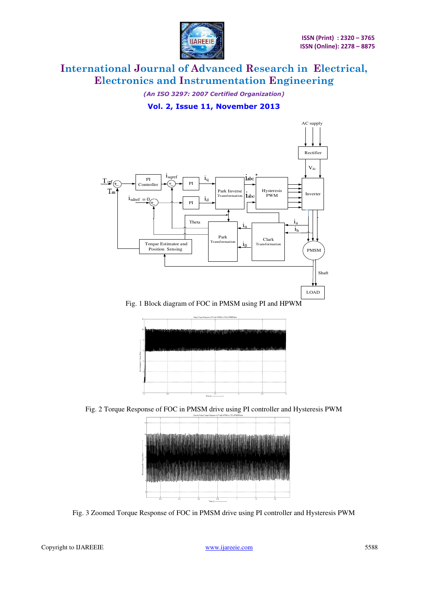

*(An ISO 3297: 2007 Certified Organization)*  **Vol. 2, Issue 11, November 2013** 



Fig. 1 Block diagram of FOC in PMSM using PI and HPWM



Fig. 2 Torque Response of FOC in PMSM drive using PI controller and Hysteresis PWM



Fig. 3 Zoomed Torque Response of FOC in PMSM drive using PI controller and Hysteresis PWM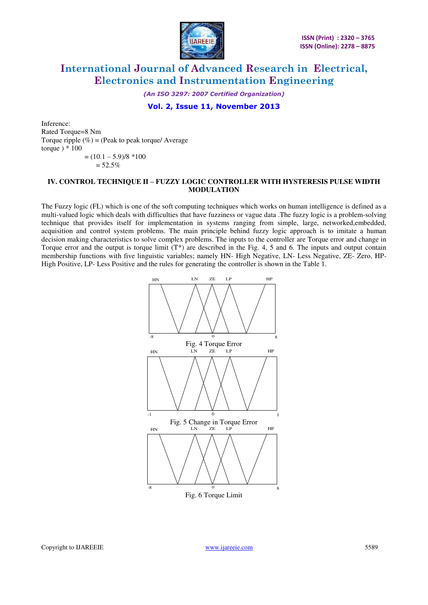

*(An ISO 3297: 2007 Certified Organization)* 

### **Vol. 2, Issue 11, November 2013**

Inference: Rated Torque=8 Nm Torque ripple  $(\%)$  = (Peak to peak torque/ Average torque  $) * 100$  $= (10.1 - 5.9)/8 *100$ 

#### $= 52.5%$

#### **IV. CONTROL TECHNIQUE II – FUZZY LOGIC CONTROLLER WITH HYSTERESIS PULSE WIDTH MODULATION**

The Fuzzy logic (FL) which is one of the soft computing techniques which works on human intelligence is defined as a multi-valued logic which deals with difficulties that have fuzziness or vague data .The fuzzy logic is a problem-solving technique that provides itself for implementation in systems ranging from simple, large, networked,embedded, acquisition and control system problems. The main principle behind fuzzy logic approach is to imitate a human decision making characteristics to solve complex problems. The inputs to the controller are Torque error and change in Torque error and the output is torque limit  $(T^*)$  are described in the Fig. 4, 5 and 6. The inputs and output contain membership functions with five linguistic variables; namely HN- High Negative, LN- Less Negative, ZE- Zero, HP-High Positive, LP- Less Positive and the rules for generating the controller is shown in the Table 1.



Fig. 6 Torque Limit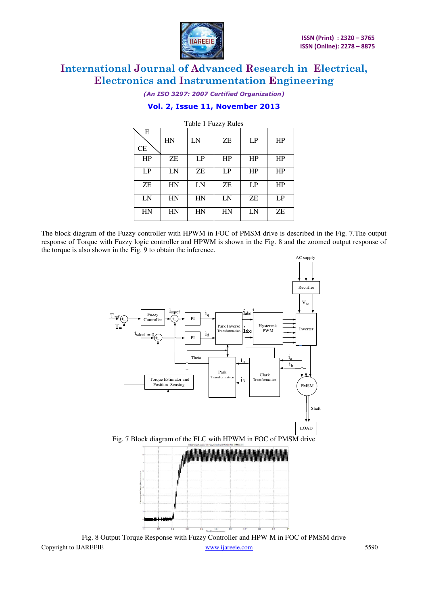

*(An ISO 3297: 2007 Certified Organization)* 

### **Vol. 2, Issue 11, November 2013**

| Table 1 Fuzzy Rules |    |    |    |    |           |  |
|---------------------|----|----|----|----|-----------|--|
| Ε<br><b>CE</b>      | HN | LN | ZΕ | LP | <b>HP</b> |  |
| HP                  | ZΕ | LP | HP | HP | HP        |  |
| LP                  | LN | ZΕ | LP | HP | HP        |  |
| ZΕ                  | HN | LN | ZΕ | LP | HP        |  |
| LN                  | HN | HN | LN | ZΕ | LP        |  |
| HN                  | HN | HN | HN | LN | ZΕ        |  |

The block diagram of the Fuzzy controller with HPWM in FOC of PMSM drive is described in the Fig. 7.The output response of Torque with Fuzzy logic controller and HPWM is shown in the Fig. 8 and the zoomed output response of the torque is also shown in the Fig. 9 to obtain the inference.



Copyright to IJAREEIE www.ijareeie.com 5590 Fig. 8 Output Torque Response with Fuzzy Controller and HPW M in FOC of PMSM drive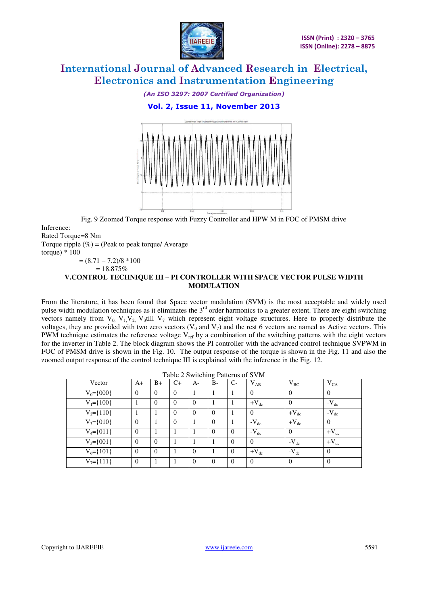

*(An ISO 3297: 2007 Certified Organization)*  **Vol. 2, Issue 11, November 2013** 



Fig. 9 Zoomed Torque response with Fuzzy Controller and HPW M in FOC of PMSM drive

Inference: Rated Torque=8 Nm

Torque ripple  $(\%)$  = (Peak to peak torque/ Average

torque)  $*100$ 

$$
= (8.71 - 7.2)/8 * 100
$$

 $= 18.875\%$ 

### **V.CONTROL TECHNIQUE III – PI CONTROLLER WITH SPACE VECTOR PULSE WIDTH MODULATION**

From the literature, it has been found that Space vector modulation (SVM) is the most acceptable and widely used pulse width modulation techniques as it eliminates the  $3<sup>rd</sup>$  order harmonics to a greater extent. There are eight switching vectors namely from  $V_0$ ,  $V_1$ ,  $V_2$ ,  $V_3$ till  $V_7$  which represent eight voltage structures. Here to properly distribute the voltages, they are provided with two zero vectors ( $V_0$  and  $V_7$ ) and the rest 6 vectors are named as Active vectors. This PWM technique estimates the reference voltage  $V_{ref}$  by a combination of the switching patterns with the eight vectors for the inverter in Table 2. The block diagram shows the PI controller with the advanced control technique SVPWM in FOC of PMSM drive is shown in the Fig. 10. The output response of the torque is shown in the Fig. 11 and also the zoomed output response of the control technique III is explained with the inference in the Fig. 12.

| $14010 + 541$   |          |          |          |              |                |              |           |                |                |
|-----------------|----------|----------|----------|--------------|----------------|--------------|-----------|----------------|----------------|
| Vector          | $A+$     | $B+$     | $C+$     | $A-$         | $B-$           | $C-$         | $V_{AB}$  | $V_{BC}$       | $V_{CA}$       |
| $V_0 = \{000\}$ | $\Omega$ | $\theta$ | $\Omega$ |              |                |              | $\Omega$  | $\theta$       | $\overline{0}$ |
| $V_1 = \{100\}$ |          | $\Omega$ | $\Omega$ | $\Omega$     |                |              | $+V_{dc}$ | $\Omega$       | $-V_{dc}$      |
| $V_2 = \{110\}$ |          |          | $\Omega$ | $\Omega$     | $\mathbf{0}$   |              | $\Omega$  | $+V_{dc}$      | $-V_{dc}$      |
| $V_3 = \{010\}$ | $\theta$ |          | $\Omega$ |              | $\mathbf{0}$   |              | $-V_{dc}$ | $+V_{dc}$      | $\overline{0}$ |
| $V_4 = \{011\}$ | $\theta$ |          |          |              | $\theta$       | $\mathbf{0}$ | $-V_{dc}$ | $\theta$       | $+V_{dc}$      |
| $V_5 = \{001\}$ | $\Omega$ | $\theta$ |          |              |                | $\Omega$     | $\Omega$  | $-V_{dc}$      | $+V_{dc}$      |
| $V_6 = \{101\}$ | $\Omega$ | $\Omega$ |          | $\Omega$     |                | $\theta$     | $+V_{dc}$ | $-V_{dc}$      | $\overline{0}$ |
| $V_7 = \{111\}$ | $\theta$ |          |          | $\mathbf{0}$ | $\overline{0}$ | $\mathbf{0}$ | $\theta$  | $\overline{0}$ | $\overline{0}$ |

Table 2 Switching Patterns of SVM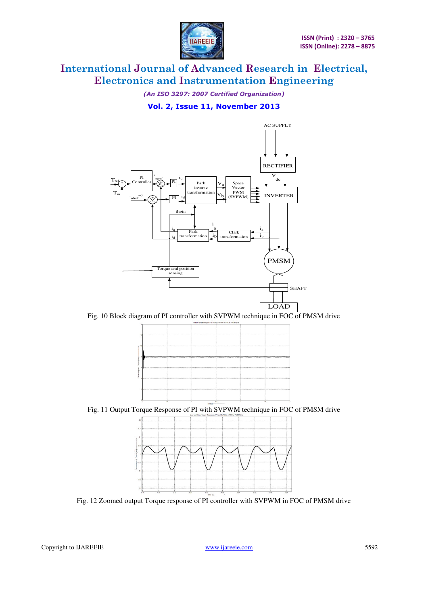

*(An ISO 3297: 2007 Certified Organization)*  **Vol. 2, Issue 11, November 2013** 



Fig. 10 Block diagram of PI controller with SVPWM technique in FOC of PMSM drive



Fig. 11 Output Torque Response of PI with SVPWM technique in FOC of PMSM drive



Fig. 12 Zoomed output Torque response of PI controller with SVPWM in FOC of PMSM drive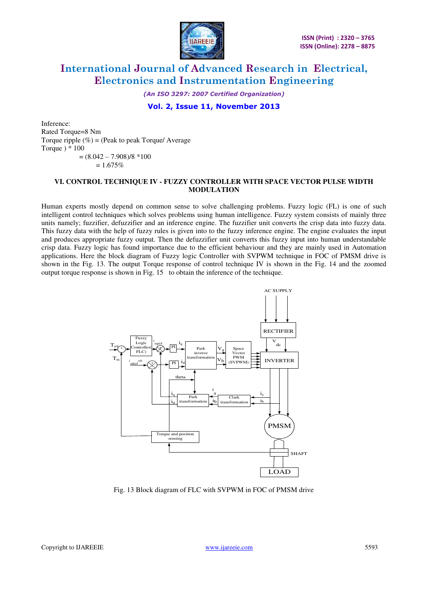

*(An ISO 3297: 2007 Certified Organization)* 

### **Vol. 2, Issue 11, November 2013**

Inference: Rated Torque=8 Nm Torque ripple  $(\%)$  = (Peak to peak Torque/ Average Torque ) \* 100  $=(8.042 - 7.908)/8 *100$  $= 1.675%$ 

#### **VI. CONTROL TECHNIQUE IV - FUZZY CONTROLLER WITH SPACE VECTOR PULSE WIDTH MODULATION**

Human experts mostly depend on common sense to solve challenging problems. Fuzzy logic (FL) is one of such intelligent control techniques which solves problems using human intelligence. Fuzzy system consists of mainly three units namely; fuzzifier, defuzzifier and an inference engine. The fuzzifier unit converts the crisp data into fuzzy data. This fuzzy data with the help of fuzzy rules is given into to the fuzzy inference engine. The engine evaluates the input and produces appropriate fuzzy output. Then the defuzzifier unit converts this fuzzy input into human understandable crisp data. Fuzzy logic has found importance due to the efficient behaviour and they are mainly used in Automation applications. Here the block diagram of Fuzzy logic Controller with SVPWM technique in FOC of PMSM drive is shown in the Fig. 13. The output Torque response of control technique IV is shown in the Fig. 14 and the zoomed output torque response is shown in Fig. 15 to obtain the inference of the technique.



Fig. 13 Block diagram of FLC with SVPWM in FOC of PMSM drive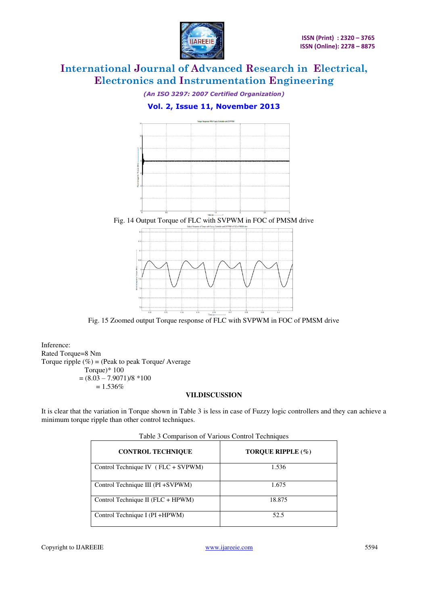

*(An ISO 3297: 2007 Certified Organization)* 

### **Vol. 2, Issue 11, November 2013**



Fig. 14 Output Torque of FLC with SVPWM in FOC of PMSM drive



Fig. 15 Zoomed output Torque response of FLC with SVPWM in FOC of PMSM drive

Inference: Rated Torque=8 Nm Torque ripple  $(\%)$  = (Peak to peak Torque/ Average Torque)\* 100  $=(8.03 - 7.9071)/8*100$  $= 1.536\%$ 

### **VII.DISCUSSION**

It is clear that the variation in Torque shown in Table 3 is less in case of Fuzzy logic controllers and they can achieve a minimum torque ripple than other control techniques.

| <b>CONTROL TECHNIQUE</b>             | TOROUE RIPPLE (%) |  |  |  |  |  |
|--------------------------------------|-------------------|--|--|--|--|--|
| Control Technique IV $(FLC + SVPWM)$ | 1.536             |  |  |  |  |  |
| Control Technique III (PI +SVPWM)    | 1.675             |  |  |  |  |  |
| Control Technique II (FLC + HPWM)    | 18.875            |  |  |  |  |  |
| Control Technique I (PI +HPWM)       | 52.5              |  |  |  |  |  |

Table 3 Comparison of Various Control Techniques